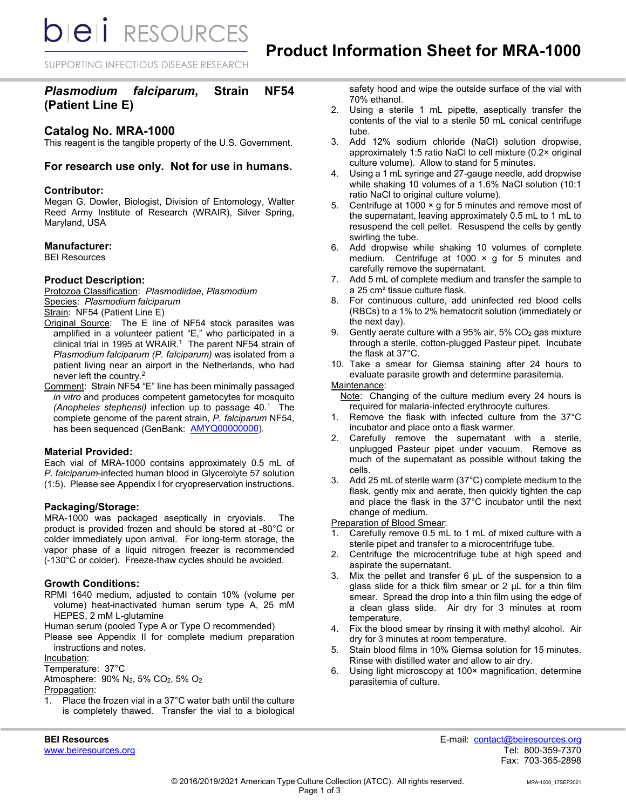*DIEI RESOURCES* 

SUPPORTING INFECTIOUS DISEASE RESEARCH

# *Plasmodium falciparum***, Strain NF54 (Patient Line E)**

# **Catalog No. MRA-1000**

This reagent is the tangible property of the U.S. Government.

# **For research use only. Not for use in humans.**

### **Contributor:**

Megan G. Dowler, Biologist, Division of Entomology, Walter Reed Army Institute of Research (WRAIR), Silver Spring, Maryland, USA

### **Manufacturer:**

BEI Resources

### **Product Description:**

Protozoa Classification: *PIasmodiidae*, *Plasmodium* Species: *Plasmodium falciparum*

Strain: NF54 (Patient Line E)

Original Source: The E line of NF54 stock parasites was amplified in a volunteer patient "E," who participated in a clinical trial in 1995 at WRAIR.<sup>1</sup> The parent NF54 strain of *Plasmodium falciparum (P. falciparum)* was isolated from a patient living near an airport in the Netherlands, who had never left the country.2

Comment: Strain NF54 "E" line has been minimally passaged *in vitro* and produces competent gametocytes for mosquito *(Anopheles stephensi)* infection up to passage 40.1 The complete genome of the parent strain, *P. falciparum* NF54, has been sequenced (GenBank: [AMYQ00000000\)](http://www.ncbi.nlm.nih.gov/nuccore/AMYQ00000000).

## **Material Provided:**

Each vial of MRA-1000 contains approximately 0.5 mL of *P. falciparum*-infected human blood in Glycerolyte 57 solution (1:5). Please see Appendix I for cryopreservation instructions.

## **Packaging/Storage:**

MRA-1000 was packaged aseptically in cryovials. The product is provided frozen and should be stored at -80°C or colder immediately upon arrival. For long-term storage, the vapor phase of a liquid nitrogen freezer is recommended (-130°C or colder). Freeze-thaw cycles should be avoided.

#### **Growth Conditions:**

RPMI 1640 medium, adjusted to contain 10% (volume per volume) heat-inactivated human serum type A, 25 mM HEPES, 2 mM L-glutamine

Human serum (pooled Type A or Type O recommended)

Please see Appendix II for complete medium preparation instructions and notes.

Incubation:

Temperature: 37°C

Atmosphere: 90% N2, 5% CO2, 5% O2

#### Propagation:

1. Place the frozen vial in a 37°C water bath until the culture is completely thawed. Transfer the vial to a biological safety hood and wipe the outside surface of the vial with 70% ethanol.

- 2. Using a sterile 1 mL pipette, aseptically transfer the contents of the vial to a sterile 50 mL conical centrifuge tube.
- 3. Add 12% sodium chloride (NaCl) solution dropwise, approximately 1:5 ratio NaCl to cell mixture (0.2× original culture volume). Allow to stand for 5 minutes.
- 4. Using a 1 mL syringe and 27-gauge needle, add dropwise while shaking 10 volumes of a 1.6% NaCl solution (10:1 ratio NaCl to original culture volume).
- 5. Centrifuge at 1000 × g for 5 minutes and remove most of the supernatant, leaving approximately 0.5 mL to 1 mL to resuspend the cell pellet. Resuspend the cells by gently swirling the tube.
- 6. Add dropwise while shaking 10 volumes of complete medium. Centrifuge at 1000  $\times$  g for 5 minutes and carefully remove the supernatant.
- 7. Add 5 mL of complete medium and transfer the sample to a 25 cm² tissue culture flask.
- 8. For continuous culture, add uninfected red blood cells (RBCs) to a 1% to 2% hematocrit solution (immediately or the next day).
- 9. Gently aerate culture with a 95% air, 5% CO2 gas mixture through a sterile, cotton-plugged Pasteur pipet. Incubate the flask at 37°C.
- 10. Take a smear for Giemsa staining after 24 hours to evaluate parasite growth and determine parasitemia.

#### Maintenance:

- Note: Changing of the culture medium every 24 hours is required for malaria-infected erythrocyte cultures.
- 1. Remove the flask with infected culture from the 37°C incubator and place onto a flask warmer.
- 2. Carefully remove the supernatant with a sterile, unplugged Pasteur pipet under vacuum. Remove as much of the supernatant as possible without taking the cells.
- 3. Add 25 mL of sterile warm (37°C) complete medium to the flask, gently mix and aerate, then quickly tighten the cap and place the flask in the 37°C incubator until the next change of medium.

**Preparation of Blood Smear:** 

- 1. Carefully remove 0.5 mL to 1 mL of mixed culture with a sterile pipet and transfer to a microcentrifuge tube.
- 2. Centrifuge the microcentrifuge tube at high speed and aspirate the supernatant.
- 3. Mix the pellet and transfer 6 µL of the suspension to a glass slide for a thick film smear or 2 µL for a thin film smear. Spread the drop into a thin film using the edge of a clean glass slide. Air dry for 3 minutes at room temperature.
- 4. Fix the blood smear by rinsing it with methyl alcohol. Air dry for 3 minutes at room temperature.
- 5. Stain blood films in 10% Giemsa solution for 15 minutes. Rinse with distilled water and allow to air dry.
- 6. Using light microscopy at 100× magnification, determine parasitemia of culture.

**BEI Resources** E-mail: contact@beiresources.org Fax: 703-365-2898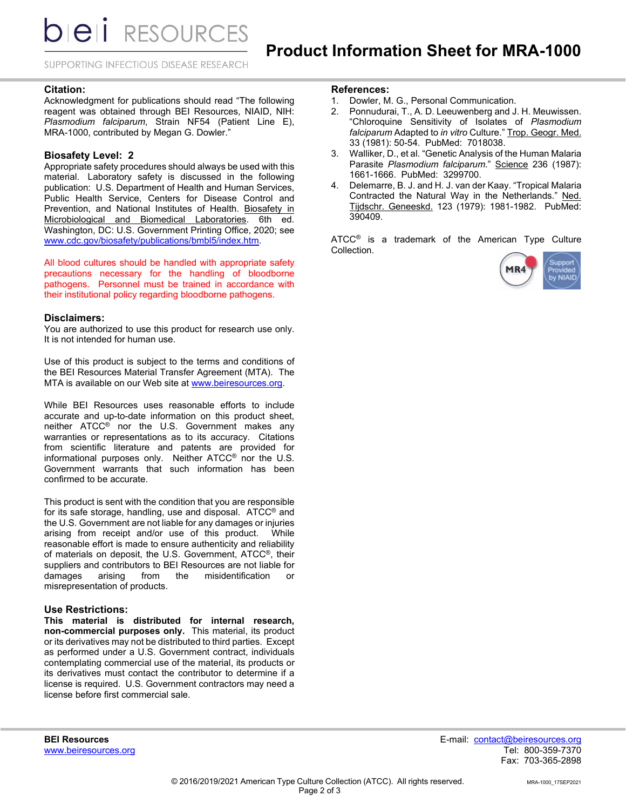*DIEI RESOURCES* 

SUPPORTING INFECTIOUS DISEASE RESEARCH

#### **Citation:**

Acknowledgment for publications should read "The following reagent was obtained through BEI Resources, NIAID, NIH: *Plasmodium falciparum*, Strain NF54 (Patient Line E), MRA-1000, contributed by Megan G. Dowler."

#### **Biosafety Level: 2**

Appropriate safety procedures should always be used with this material. Laboratory safety is discussed in the following publication: U.S. Department of Health and Human Services, Public Health Service, Centers for Disease Control and Prevention, and National Institutes of Health. Biosafety in Microbiological and Biomedical Laboratories. 6th ed. Washington, DC: U.S. Government Printing Office, 2020; see [www.cdc.gov/biosafety/publications/bmbl5/index.htm.](http://www.cdc.gov/biosafety/publications/bmbl5/index.htm) 

All blood cultures should be handled with appropriate safety precautions necessary for the handling of bloodborne pathogens. Personnel must be trained in accordance with their institutional policy regarding bloodborne pathogens.

#### **Disclaimers:**

You are authorized to use this product for research use only. It is not intended for human use.

Use of this product is subject to the terms and conditions of the BEI Resources Material Transfer Agreement (MTA). The MTA is available on our Web site at www.beiresources.org.

While BEI Resources uses reasonable efforts to include accurate and up-to-date information on this product sheet, neither ATCC® nor the U.S. Government makes any warranties or representations as to its accuracy. Citations from scientific literature and patents are provided for informational purposes only. Neither ATCC® nor the U.S. Government warrants that such information has been confirmed to be accurate.

This product is sent with the condition that you are responsible for its safe storage, handling, use and disposal. ATCC® and the U.S. Government are not liable for any damages or injuries arising from receipt and/or use of this product. While reasonable effort is made to ensure authenticity and reliability of materials on deposit, the U.S. Government, ATCC®, their suppliers and contributors to BEI Resources are not liable for damages arising from the misidentification or misrepresentation of products.

### **Use Restrictions:**

**This material is distributed for internal research, non-commercial purposes only.** This material, its product or its derivatives may not be distributed to third parties. Except as performed under a U.S. Government contract, individuals contemplating commercial use of the material, its products or its derivatives must contact the contributor to determine if a license is required. U.S. Government contractors may need a license before first commercial sale.

### **References:**

- 1. Dowler, M. G., Personal Communication.<br>2. Ponnudurai. T., A. D. Leeuwenberg and J.
- 2. Ponnudurai, T., A. D. Leeuwenberg and J. H. Meuwissen. "Chloroquine Sensitivity of Isolates of *Plasmodium falciparum* Adapted to *in vitro* Culture." Trop. Geogr. Med. 33 (1981): 50-54. PubMed: 7018038.
- 3. Walliker, D., et al. "Genetic Analysis of the Human Malaria Parasite *Plasmodium falciparum*." Science 236 (1987): 1661-1666. PubMed: 3299700.
- 4. Delemarre, B. J. and H. J. van der Kaay. "Tropical Malaria Contracted the Natural Way in the Netherlands." Ned. Tijdschr. Geneeskd. 123 (1979): 1981-1982. PubMed: 390409.

ATCC<sup>®</sup> is a trademark of the American Type Culture Collection.



**BEI Resources** E-mail: contact@beiresources.org Fax: 703-365-2898